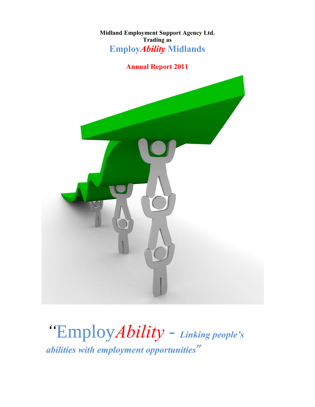**Midland Employment Support Agency Ltd. Trading as Employ***Ability* **Midlands**

# **Annual Report 2011**



*"*Employ*Ability* - *Linking people'<sup>s</sup> abilities with employment opportunities***"**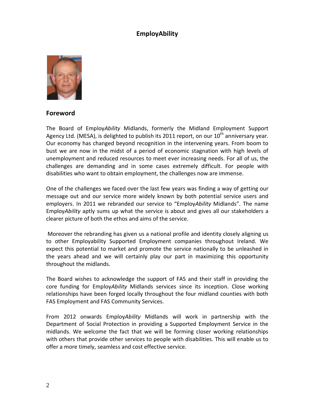# **EmployAbility**



#### **Foreword**

The Board of Employ*Ability* Midlands, formerly the Midland Employment Support Agency Ltd. (MESA), is delighted to publish its 2011 report, on our  $10^{th}$  anniversary year. Our economy has changed beyond recognition in the intervening years. From boom to bust we are now in the midst of a period of economic stagnation with high levels of unemployment and reduced resources to meet ever increasing needs. For all of us, the challenges are demanding and in some cases extremely difficult. For people with disabilities who want to obtain employment, the challenges now are immense.

One of the challenges we faced over the last few years was finding a way of getting our message out and our service more widely known by both potential service users and employers. In 2011 we rebranded our service to "Employ*Ability* Midlands". The name Employ*Ability* aptly sums up what the service is about and gives all our stakeholders a clearer picture of both the ethos and aims of the service.

Moreover the rebranding has given us a national profile and identity closely aligning us to other Employability Supported Employment companies throughout Ireland. We expect this potential to market and promote the service nationally to be unleashed in the years ahead and we will certainly play our part in maximizing this opportunity throughout the midlands.

The Board wishes to acknowledge the support of FAS and their staff in providing the core funding for Employ*Ability* Midlands services since its inception. Close working relationships have been forged locally throughout the four midland counties with both FAS Employment and FAS Community Services.

From 2012 onwards Employ*Ability* Midlands will work in partnership with the Department of Social Protection in providing a Supported Employment Service in the midlands. We welcome the fact that we will be forming closer working relationships with others that provide other services to people with disabilities. This will enable us to offer a more timely, seamless and cost effective service.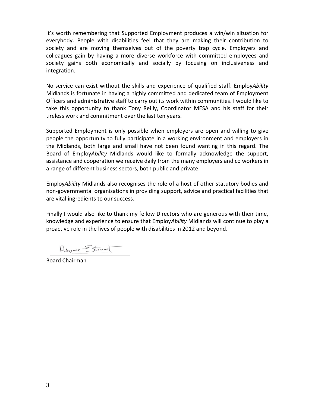It's worth remembering that Supported Employment produces a win/win situation for everybody. People with disabilities feel that they are making their contribution to society and are moving themselves out of the poverty trap cycle. Employers and colleagues gain by having a more diverse workforce with committed employees and society gains both economically and socially by focusing on inclusiveness and integration.

No service can exist without the skills and experience of qualified staff. Employ*Ability* Midlands is fortunate in having a highly committed and dedicated team of Employment Officers and administrative staff to carry out its work within communities. I would like to take this opportunity to thank Tony Reilly, Coordinator MESA and his staff for their tireless work and commitment over the last ten years.

Supported Employment is only possible when employers are open and willing to give people the opportunity to fully participate in a working environment and employers in the Midlands, both large and small have not been found wanting in this regard. The Board of Employ*Ability* Midlands would like to formally acknowledge the support, assistance and cooperation we receive daily from the many employers and co workers in a range of different business sectors, both public and private.

Employ*Ability* Midlands also recognises the role of a host of other statutory bodies and non-governmental organisations in providing support, advice and practical facilities that are vital ingredients to our success.

Finally I would also like to thank my fellow Directors who are generous with their time, knowledge and experience to ensure that Employ*Ability* Midlands will continue to play a proactive role in the lives of people with disabilities in 2012 and beyond.

Adevan Stewart

Board Chairman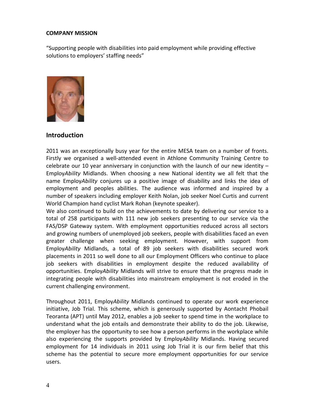#### **COMPANY MISSION**

"Supporting people with disabilities into paid employment while providing effective solutions to employers' staffing needs"



#### **Introduction**

2011 was an exceptionally busy year for the entire MESA team on a number of fronts. Firstly we organised a well-attended event in Athlone Community Training Centre to celebrate our 10 year anniversary in conjunction with the launch of our new identity  $-$ Employ*Ability* Midlands. When choosing a new National identity we all felt that the name Employ*Ability* conjures up a positive image of disability and links the idea of employment and peoples abilities. The audience was informed and inspired by a number of speakers including employer Keith Nolan, job seeker Noel Curtis and current World Champion hand cyclist Mark Rohan (keynote speaker).

We also continued to build on the achievements to date by delivering our service to a total of 258 participants with 111 new job seekers presenting to our service via the FAS/DSP Gateway system. With employment opportunities reduced across all sectors and growing numbers of unemployed job seekers, people with disabilities faced an even greater challenge when seeking employment. However, with support from Employ*Ability* Midlands, a total of 89 job seekers with disabilities secured work placements in 2011 so well done to all our Employment Officers who continue to place job seekers with disabilities in employment despite the reduced availability of opportunities. Employ*Ability* Midlands will strive to ensure that the progress made in integrating people with disabilities into mainstream employment is not eroded in the current challenging environment.

Throughout 2011, Employ*Ability* Midlands continued to operate our work experience initiative, Job Trial. This scheme, which is generously supported by Aontacht Phobail Teoranta (APT) until May 2012, enables a job seeker to spend time in the workplace to understand what the job entails and demonstrate their ability to do the job. Likewise, the employer has the opportunity to see how a person performs in the workplace while also experiencing the supports provided by Employ*Ability* Midlands. Having secured employment for 14 individuals in 2011 using Job Trial it is our firm belief that this scheme has the potential to secure more employment opportunities for our service users.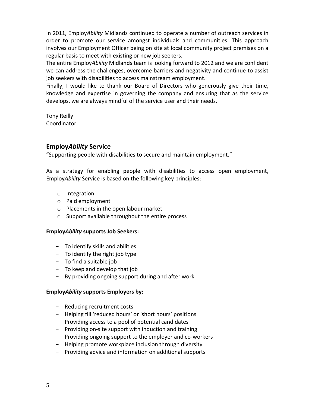In 2011, Employ*Ability* Midlands continued to operate a number of outreach services in order to promote our service amongst individuals and communities. This approach involves our Employment Officer being on site at local community project premises on a regular basis to meet with existing or new job seekers.

The entire Employ*Ability* Midlands team is looking forward to 2012 and we are confident we can address the challenges, overcome barriers and negativity and continue to assist job seekers with disabilities to access mainstream employment.

Finally, I would like to thank our Board of Directors who generously give their time, knowledge and expertise in governing the company and ensuring that as the service develops, we are always mindful of the service user and their needs.

Tony Reilly Coordinator.

## **Employ***Ability* **Service**

"Supporting people with disabilities to secure and maintain employment."

As a strategy for enabling people with disabilities to access open employment, Employ*Ability* Service is based on the following key principles:

- o Integration
- o Paid employment
- o Placements in the open labour market
- o Support available throughout the entire process

## **Employ***Ability* **supports Job Seekers:**

- To identify skills and abilities
- To identify the right job type
- To find a suitable job
- To keep and develop that job
- By providing ongoing support during and after work

## **Employ***Ability* **supports Employers by:**

- Reducing recruitment costs
- Helping fill 'reduced hours' or 'short hours' positions
- Providing access to a pool of potential candidates
- Providing on-site support with induction and training
- Providing ongoing support to the employer and co-workers
- Helping promote workplace inclusion through diversity
- Providing advice and information on additional supports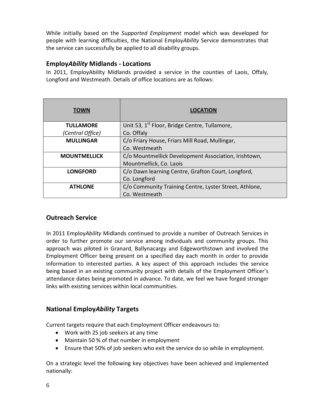While initially based on the *Supported Employment* model which was developed for people with learning difficulties, the National Employ*Ability* Service demonstrates that the service can successfully be applied to all disability groups.

## **Employ***Ability* **Midlands - Locations**

In 2011, EmployAbility Midlands provided a service in the counties of Laois, Offaly, Longford and Westmeath. Details of office locations are as follows:

| <b>TOWN</b>         | <b>LOCATION</b>                                           |
|---------------------|-----------------------------------------------------------|
| <b>TULLAMORE</b>    | Unit 53, 1 <sup>st</sup> Floor, Bridge Centre, Tullamore, |
| (Central Office)    | Co. Offaly                                                |
| <b>MULLINGAR</b>    | C/o Friary House, Friars Mill Road, Mullingar,            |
|                     | Co. Westmeath                                             |
| <b>MOUNTMELLICK</b> | C/o Mountmellick Development Association, Irishtown,      |
|                     | Mountmellick, Co. Laois                                   |
| <b>LONGFORD</b>     | C/o Dawn learning Centre, Grafton Court, Longford,        |
|                     | Co. Longford                                              |
| <b>ATHLONE</b>      | C/o Community Training Centre, Lyster Street, Athlone,    |
|                     | Co. Westmeath                                             |

# **Outreach Service**

In 2011 Employ*Ability* Midlands continued to provide a number of Outreach Services in order to further promote our service among individuals and community groups. This approach was piloted in Granard, Ballynacargy and Edgeworthstown and involved the Employment Officer being present on a specified day each month in order to provide information to interested parties. A key aspect of this approach includes the service being based in an existing community project with details of the Employment Officer's attendance dates being promoted in advance. To date, we feel we have forged stronger links with existing services within local communities.

# **National Employ***Ability* **Targets**

Current targets require that each Employment Officer endeavours to:

- · Work with 25 job seekers at any time
- · Maintain 50 % of that number in employment
- · Ensure that 50% of job seekers who exit the service do so while in employment.

On a strategic level the following key objectives have been achieved and implemented nationally: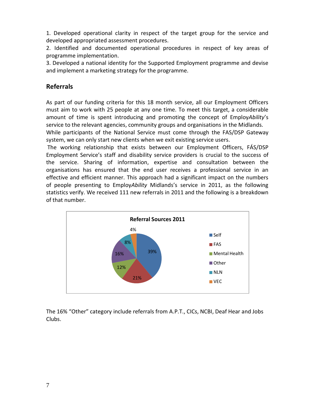1. Developed operational clarity in respect of the target group for the service and developed appropriated assessment procedures.

2. Identified and documented operational procedures in respect of key areas of programme implementation.

3. Developed a national identity for the Supported Employment programme and devise and implement a marketing strategy for the programme.

## **Referrals**

As part of our funding criteria for this 18 month service, all our Employment Officers must aim to work with 25 people at any one time. To meet this target, a considerable amount of time is spent introducing and promoting the concept of Employ*Ability*'s service to the relevant agencies, community groups and organisations in the Midlands. While participants of the National Service must come through the FAS/DSP Gateway system, we can only start new clients when we exit existing service users.

The working relationship that exists between our Employment Officers, FÁS/DSP Employment Service's staff and disability service providers is crucial to the success of the service. Sharing of information, expertise and consultation between the organisations has ensured that the end user receives a professional service in an effective and efficient manner. This approach had a significant impact on the numbers of people presenting to Employ*Ability* Midlands's service in 2011, as the following statistics verify. We received 111 new referrals in 2011 and the following is a breakdown of that number.



The 16% "Other" category include referrals from A.P.T., CICs, NCBI, Deaf Hear and Jobs Clubs.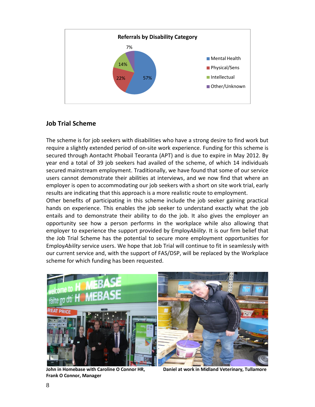

## **Job Trial Scheme**

The scheme is for job seekers with disabilities who have a strong desire to find work but require a slightly extended period of on-site work experience. Funding for this scheme is secured through Aontacht Phobail Teoranta (APT) and is due to expire in May 2012. By year end a total of 39 job seekers had availed of the scheme, of which 14 individuals secured mainstream employment. Traditionally, we have found that some of our service users cannot demonstrate their abilities at interviews, and we now find that where an employer is open to accommodating our job seekers with a short on site work trial, early results are indicating that this approach is a more realistic route to employment.

Other benefits of participating in this scheme include the job seeker gaining practical hands on experience. This enables the job seeker to understand exactly what the job entails and to demonstrate their ability to do the job. It also gives the employer an opportunity see how a person performs in the workplace while also allowing that employer to experience the support provided by Employ*Ability*. It is our firm belief that the Job Trial Scheme has the potential to secure more employment opportunities for Employ*Ability* service users. We hope that Job Trial will continue to fit in seamlessly with our current service and, with the support of FAS/DSP, will be replaced by the Workplace scheme for which funding has been requested.



**Frank O Connor, Manager**

**John in Homebase with Caroline O Connor HR, Daniel at work in Midland Veterinary, Tullamore**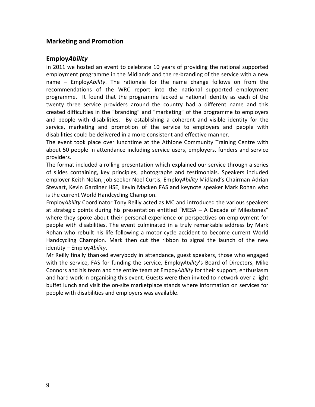## **Marketing and Promotion**

## **Employ***Ability*

In 2011 we hosted an event to celebrate 10 years of providing the national supported employment programme in the Midlands and the re-branding of the service with a new name – Employ*Ability*. The rationale for the name change follows on from the recommendations of the WRC report into the national supported employment programme. It found that the programme lacked a national identity as each of the twenty three service providers around the country had a different name and this created difficulties in the "branding" and "marketing" of the programme to employers and people with disabilities. By establishing a coherent and visible identity for the service, marketing and promotion of the service to employers and people with disabilities could be delivered in a more consistent and effective manner.

The event took place over lunchtime at the Athlone Community Training Centre with about 50 people in attendance including service users, employers, funders and service providers.

The format included a rolling presentation which explained our service through a series of slides containing, key principles, photographs and testimonials. Speakers included employer Keith Nolan, job seeker Noel Curtis, Employ*Ability* Midland's Chairman Adrian Stewart, Kevin Gardiner HSE, Kevin Macken FAS and keynote speaker Mark Rohan who is the current World Handcycling Champion.

Employ*Ability* Coordinator Tony Reilly acted as MC and introduced the various speakers at strategic points during his presentation entitled "MESA – A Decade of Milestones" where they spoke about their personal experience or perspectives on employment for people with disabilities. The event culminated in a truly remarkable address by Mark Rohan who rebuilt his life following a motor cycle accident to become current World Handcycling Champion. Mark then cut the ribbon to signal the launch of the new identity – Employ*Ability*.

Mr Reilly finally thanked everybody in attendance, guest speakers, those who engaged with the service, FAS for funding the service, Employ*Ability*'s Board of Directors, Mike Connors and his team and the entire team at Empoy*Ability* for their support, enthusiasm and hard work in organising this event. Guests were then invited to network over a light buffet lunch and visit the on-site marketplace stands where information on services for people with disabilities and employers was available.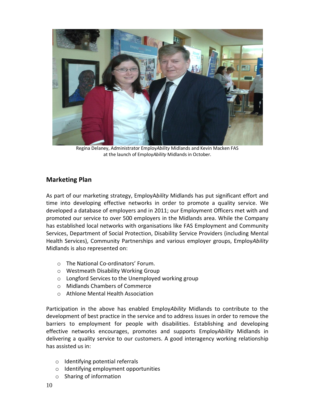

Regina Delaney, Administrator Employ*Ability* Midlands and Kevin Macken FAS at the launch of Employ*Ability* Midlands in October.

## **Marketing Plan**

As part of our marketing strategy, EmployA*bility* Midlands has put significant effort and time into developing effective networks in order to promote a quality service. We developed a database of employers and in 2011; our Employment Officers met with and promoted our service to over 500 employers in the Midlands area. While the Company has established local networks with organisations like FAS Employment and Community Services, Department of Social Protection, Disability Service Providers (including Mental Health Services), Community Partnerships and various employer groups, Employ*Ability* Midlands is also represented on:

- o The National Co-ordinators' Forum.
- o Westmeath Disability Working Group
- o Longford Services to the Unemployed working group
- o Midlands Chambers of Commerce
- o Athlone Mental Health Association

Participation in the above has enabled Employ*Ability* Midlands to contribute to the development of best practice in the service and to address issues in order to remove the barriers to employment for people with disabilities. Establishing and developing effective networks encourages, promotes and supports Employ*Ability* Midlands in delivering a quality service to our customers. A good interagency working relationship has assisted us in:

- o Identifying potential referrals
- o Identifying employment opportunities
- o Sharing of information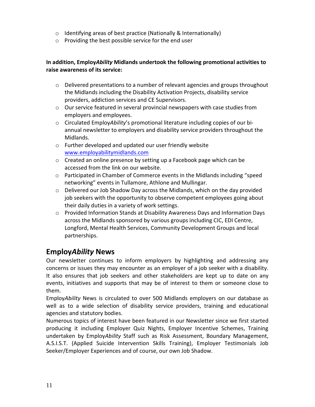- o Identifying areas of best practice (Nationally & Internationally)
- o Providing the best possible service for the end user

## **In addition, Employ***Ability* **Midlands undertook the following promotional activities to raise awareness of its service:**

- o Delivered presentations to a number of relevant agencies and groups throughout the Midlands including the Disability Activation Projects, disability service providers, addiction services and CE Supervisors.
- o Our service featured in several provincial newspapers with case studies from employers and employees.
- o Circulated Employ*Ability*'s promotional literature including copies of our biannual newsletter to employers and disability service providers throughout the Midlands.
- o Further developed and updated our user friendly website [www.employabilitymidlands.com](http://www.employabilitymidlands.com/)
- o Created an online presence by setting up a Facebook page which can be accessed from the link on our website.
- o Participated in Chamber of Commerce events in the Midlands including "speed networking" events in Tullamore, Athlone and Mullingar.
- $\circ$  Delivered our Job Shadow Day across the Midlands, which on the day provided job seekers with the opportunity to observe competent employees going about their daily duties in a variety of work settings.
- o Provided Information Stands at Disability Awareness Days and Information Days across the Midlands sponsored by various groups including CIC, EDI Centre, Longford, Mental Health Services, Community Development Groups and local partnerships.

# **Employ***Ability* **News**

Our newsletter continues to inform employers by highlighting and addressing any concerns or issues they may encounter as an employer of a job seeker with a disability. It also ensures that job seekers and other stakeholders are kept up to date on any events, initiatives and supports that may be of interest to them or someone close to them.

Employ*Ability* News is circulated to over 500 Midlands employers on our database as well as to a wide selection of disability service providers, training and educational agencies and statutory bodies.

Numerous topics of interest have been featured in our Newsletter since we first started producing it including Employer Quiz Nights, Employer Incentive Schemes, Training undertaken by Employ*Ability* Staff such as Risk Assessment, Boundary Management, A.S.I.S.T. (Applied Suicide Intervention Skills Training), Employer Testimonials Job Seeker/Employer Experiences and of course, our own Job Shadow.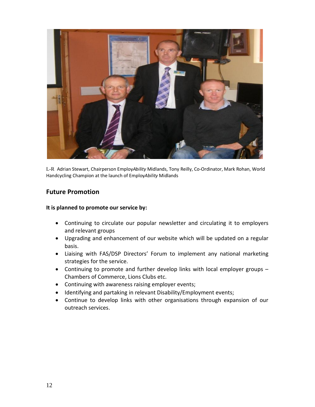

L-R Adrian Stewart, Chairperson Employ*Ability* Midlands, Tony Reilly, Co-Ordinator, Mark Rohan, World Handcycling Champion at the launch of Employ*Ability* Midlands

## **Future Promotion**

#### **It is planned to promote our service by:**

- · Continuing to circulate our popular newsletter and circulating it to employers and relevant groups
- · Upgrading and enhancement of our website which will be updated on a regular basis.
- · Liaising with FAS/DSP Directors' Forum to implement any national marketing strategies for the service.
- · Continuing to promote and further develop links with local employer groups Chambers of Commerce, Lions Clubs etc.
- Continuing with awareness raising employer events;
- · Identifying and partaking in relevant Disability/Employment events;
- · Continue to develop links with other organisations through expansion of our outreach services.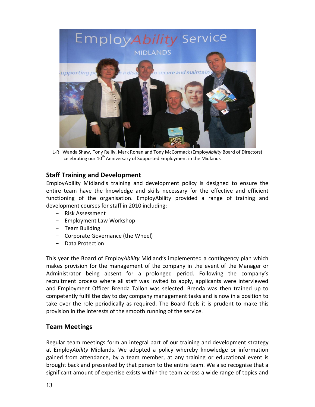

L-R Wanda Shaw, Tony Reilly, Mark Rohan and Tony McCormack (Employ*Ability* Board of Directors) celebrating our  $10^{th}$  Anniversary of Supported Employment in the Midlands

## **Staff Training and Development**

EmployAbility Midland's training and development policy is designed to ensure the entire team have the knowledge and skills necessary for the effective and efficient functioning of the organisation. EmployAbility provided a range of training and development courses for staff in 2010 including:

- Risk Assessment
- Employment Law Workshop
- Team Building
- Corporate Governance (the Wheel)
- Data Protection

This year the Board of Employ*Ability* Midland's implemented a contingency plan which makes provision for the management of the company in the event of the Manager or Administrator being absent for a prolonged period. Following the company's recruitment process where all staff was invited to apply, applicants were interviewed and Employment Officer Brenda Tallon was selected. Brenda was then trained up to competently fulfil the day to day company management tasks and is now in a position to take over the role periodically as required. The Board feels it is prudent to make this provision in the interests of the smooth running of the service.

## **Team Meetings**

Regular team meetings form an integral part of our training and development strategy at Employ*Ability* Midlands. We adopted a policy whereby knowledge or information gained from attendance, by a team member, at any training or educational event is brought back and presented by that person to the entire team. We also recognise that a significant amount of expertise exists within the team across a wide range of topics and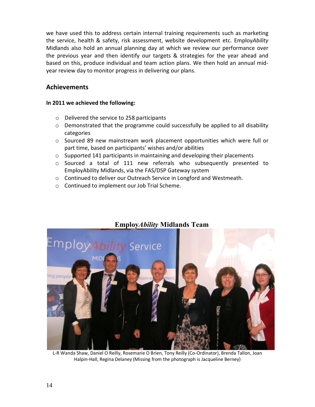we have used this to address certain internal training requirements such as marketing the service, health & safety, risk assessment, website development etc. Employ*Ability* Midlands also hold an annual planning day at which we review our performance over the previous year and then identify our targets & strategies for the year ahead and based on this, produce individual and team action plans. We then hold an annual midyear review day to monitor progress in delivering our plans.

## **Achievements**

#### **In 2011 we achieved the following:**

- o Delivered the service to 258 participants
- $\circ$  Demonstrated that the programme could successfully be applied to all disability categories
- o Sourced 89 new mainstream work placement opportunities which were full or part time, based on participants' wishes and/or abilities
- $\circ$  Supported 141 participants in maintaining and developing their placements
- $\circ$  Sourced a total of 111 new referrals who subsequently presented to EmployAbility Midlands, via the FAS/DSP Gateway system
- o Continued to deliver our Outreach Service in Longford and Westmeath.
- o Continued to implement our Job Trial Scheme.



# **Employ***Ability* **Midlands Team**

L-R Wanda Shaw, Daniel O Reilly, Rosemarie O Brien, Tony Reilly (Co-Ordinator), Brenda Tallon, Joan Halpin-Hall, Regina Delaney (Missing from the photograph is Jacqueline Berney)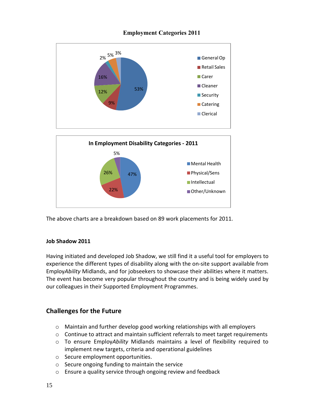## **Employment Categories 2011**



The above charts are a breakdown based on 89 work placements for 2011.

#### **Job Shadow 2011**

Having initiated and developed Job Shadow, we still find it a useful tool for employers to experience the different types of disability along with the on-site support available from Employ*Ability* Midlands, and for jobseekers to showcase their abilities where it matters. The event has become very popular throughout the country and is being widely used by our colleagues in their Supported Employment Programmes.

## **Challenges for the Future**

- $\circ$  Maintain and further develop good working relationships with all employers
- $\circ$  Continue to attract and maintain sufficient referrals to meet target requirements
- o To ensure Employ*Ability* Midlands maintains a level of flexibility required to implement new targets, criteria and operational guidelines
- o Secure employment opportunities.
- o Secure ongoing funding to maintain the service
- o Ensure a quality service through ongoing review and feedback